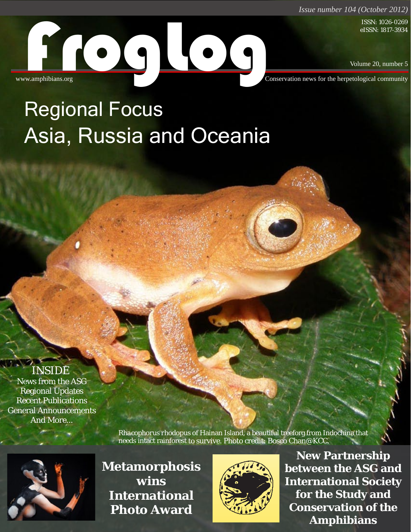*Issue number 104 (October 2012)*

eISSN: 1817-3934

Volume 20, number 5

Conservation news for the herpetological community ISSN: 1026-0269<br>eISSN: 1817-3934<br>Www.amphibians.org<br>From Market Conservation news for the herpetological community

# Asia, Russia and Oceania Regional Focus

### NSIDE

News from the ASG Regional Updates *Alytes*, 2012, **29** (1¢4): 1-144. Recent Publications General Announcements And More… Ariadne Angulo & Franco Andrew Angulo Andrew Angulo Andrew Andrew Andrew Andrew Andrew Andrew Andrew Andrew Andrew Bridging the gap between science and policy in amphibian conservation . . . . . . . . . . . . . . 3-7

> **Example 19 Rhacophorus rhodopus of Hainan Island, a beautiful treeforg from Indochina that** meeds intact rainforest to survive. Photo credit: Bosco Chan@KCC.

ISSN 0753-4973



**Example 19 Metamorphosis wins**  International **Photo Award** of the American bullfrog in the Atlantic Forest Biodiversity Hotspot ................ 61-74 Anfibios andinos y estudios de impacto ambiental en concesiones mineras de Perú...... 88-102 Points of view



*FrogLog 20 (5), Number 104 (October 2012)* | **1 Amphibians New Partnership between the ASG and International Society for the Study and Conservation of the**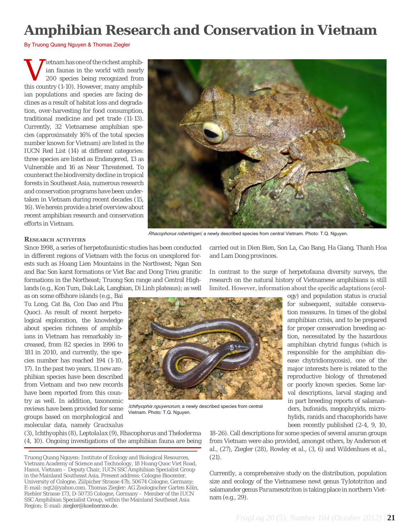## **Amphibian Research and Conservation in Vietnam**

By Truong Quang Nguyen & Thomas Ziegler

V ietnam has one of the richest amphibiant family 200 species being recognized from this country  $(1-10)$ . However, many amphibiian faunas in the world with nearly 200 species being recognized from this country (*1-10*). However, many amphibian populations and species are facing declines as a result of habitat loss and degradation, over-harvesting for food consumption, traditional medicine and pet trade (*11-13*). Currently, 32 Vietnamese amphibian species (approximately 16% of the total species number known for Vietnam) are listed in the IUCN Red List (*14*) at different categories: three species are listed as Endangered, 13 as Vulnerable and 16 as Near Threatened. To counteract the biodiversity decline in tropical forests in Southeast Asia, numerous research and conservation programs have been undertaken in Vietnam during recent decades (*15, 16*). We herein provide a brief overview about recent amphibian research and conservation efforts in Vietnam.



#### **Research activities**

Since 1998, a series of herpetofaunistic studies has been conducted in different regions of Vietnam with the focus on unexplored forests such as Hoang Lien Mountains in the Northwest; Ngan Son and Bac Son karst formations or Viet Bac and Dong Trieu granitic formations in the Northeast; Truong Son range and Central Highlands (e.g., Kon Tum, Dak Lak, Langbian, Di Linh plateaus); as well

as on some offshore islands (e.g., Bai Tu Long, Cat Ba, Con Dao and Phu Quoc). As result of recent herpetological exploration, the knowledge about species richness of amphibians in Vietnam has remarkably increased, from 82 species in 1996 to 181 in 2010, and currently, the species number has reached 194 (*1-10, 17*). In the past two years, 11 new amphibian species have been described from Vietnam and two new records have been reported from this country as well. In addition, taxonomic reviews have been provided for some groups based on morphological and molecular data, namely *Gracixalus*



Ichthyophis nguyenorum, a newly described species from central Vietnam. Photo: T.Q. Nguyen.

ogy) and population status is crucial for subsequent, suitable conservation measures. In times of the global amphibian crisis, and to be prepared for proper conservation breeding action, necessitated by the hazardous amphibian chytrid fungus (which is responsible for the amphibian disease chytridiomycosis), one of the major interests here is related to the reproductive biology of threatened

> or poorly known species. Some larval descriptions, larval staging and in part breeding reports of salamanders, bufonids, megophryids, microhylids, ranids and rhacophorids have been recently published (*2-4, 9, 10,*

(*3*), *Ichthyophis* (*8*), *Leptolalax* (*9*), *Rhacophorus* and *Theloderma* (*4, 10*). Ongoing investigations of the amphibian fauna are being

Truong Quang Nguyen: Institute of Ecology and Biological Resources, Vietnam Academy of Science and Technology, 18 Hoang Quoc Viet Road, Hanoi, Vietnam – Deputy Chair, IUCN SSC Amphibian Specialist Group in the Mainland Southeast Asia. Present address: Cologne Biocenter, University of Cologne, Zülpicher Strasse 47b, 50674 Cologne, Germany; E-mail: nqt2@yahoo.com. Thomas Ziegler: AG Zoologischer Garten Köln, Riehler Strasse 173, D-50735 Cologne, Germany – Member of the IUCN SSC Amphibian Specialist Group, within the Mainland Southeast Asia Region; E-mail: [ziegler@koelnerzoo.de.](mailto:ziegler@koelnerzoo.de)

*18-26*). Call descriptions for some species of several anuran groups from Vietnam were also provided, amongst others, by Anderson *et al.,* (*27*), Ziegler (*28*), Rowley *et al.,* (*3, 6*) and Wildenhues *et al.,* (*21*).

Currently, a comprehensive study on the distribution, population size and ecology of the Vietnamese newt genus *Tylototriton* and salamander genus *Paramesotriton* is taking place in northern Vietnam (e.g., *29*).

carried out in Dien Bien, Son La, Cao Bang, Ha Giang, Thanh Hoa and Lam Dong provinces.

In contrast to the surge of herpetofauna diversity surveys, the research on the natural history of Vietnamese amphibians is still limited. However, information about the specific adaptations (ecol-

*FrogLog 20 (5), Number 104 (October 2012)* | **21**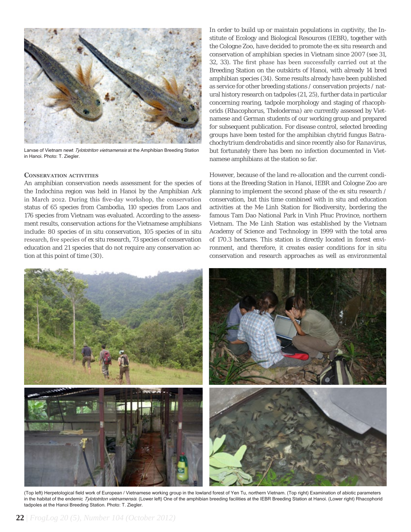

Larvae of Vietnam newt Tylototriton vietnamensis at the Amphibian Breeding Station in Hanoi. Photo: T. Ziegler.

#### **Conservation activities**

An amphibian conservation needs assessment for the species of the Indochina region was held in Hanoi by the Amphibian Ark in March 2012. During this five-day workshop, the conservation status of 65 species from Cambodia, 110 species from Laos and 176 species from Vietnam was evaluated. According to the assessment results, conservation actions for the Vietnamese amphibians include: 80 species of *in situ* conservation, 105 species of *in situ* research, five species of *ex situ* research, 73 species of conservation education and 21 species that do not require any conservation action at this point of time (*30*).

In order to build up or maintain populations in captivity, the Institute of Ecology and Biological Resources (IEBR), together with the Cologne Zoo, have decided to promote the *ex situ* research and conservation of amphibian species in Vietnam since 2007 (see *31, 32, 33*). The first phase has been successfully carried out at the Breeding Station on the outskirts of Hanoi, with already 14 bred amphibian species (*34*). Some results already have been published as service for other breeding stations / conservation projects / natural history research on tadpoles (*21, 25*), further data in particular concerning rearing, tadpole morphology and staging of rhacophorids (*Rhacophorus*, *Theloderma*) are currently assessed by Vietnamese and German students of our working group and prepared for subsequent publication. For disease control, selected breeding groups have been tested for the amphibian chytrid fungus *Batrachochytrium dendrobatidis* and since recently also for *Ranavirus*, but fortunately there has been no infection documented in Vietnamese amphibians at the station so far.

However, because of the land re-allocation and the current conditions at the Breeding Station in Hanoi, IEBR and Cologne Zoo are planning to implement the second phase of the *ex situ* research / conservation, but this time combined with *in situ* and education activities at the Me Linh Station for Biodiversity, bordering the famous Tam Dao National Park in Vinh Phuc Province, northern Vietnam. The Me Linh Station was established by the Vietnam Academy of Science and Technology in 1999 with the total area of 170.3 hectares. This station is directly located in forest environment, and therefore, it creates easier conditions for *in situ* conservation and research approaches as well as environmental



(Top left) Herpetological field work of European / Vietnamese working group in the lowland forest of Yen Tu, northern Vietnam. (Top right) Examination of abiotic parameters in the habitat of the endemic Tylototriton vietnamensis. (Lower left) One of the amphibian breeding facilities at the IEBR Breeding Station at Hanoi. (Lower right) Rhacophorid tadpoles at the Hanoi Breeding Station. Photo: T. Ziegler.